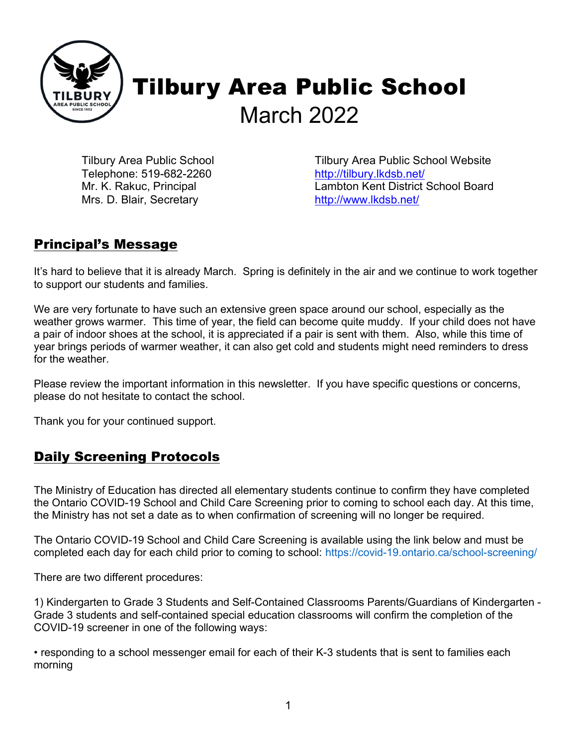

Tilbury Area Public School Telephone: 519-682-2260 Mr. K. Rakuc, Principal Mrs. D. Blair, Secretary

Tilbury Area Public School Website http://tilbury.lkdsb.net/ Lambton Kent District School Board http://www.lkdsb.net/

# Principal's Message

It's hard to believe that it is already March. Spring is definitely in the air and we continue to work together to support our students and families.

We are very fortunate to have such an extensive green space around our school, especially as the weather grows warmer. This time of year, the field can become quite muddy. If your child does not have a pair of indoor shoes at the school, it is appreciated if a pair is sent with them. Also, while this time of year brings periods of warmer weather, it can also get cold and students might need reminders to dress for the weather.

Please review the important information in this newsletter. If you have specific questions or concerns, please do not hesitate to contact the school.

Thank you for your continued support.

### Daily Screening Protocols

The Ministry of Education has directed all elementary students continue to confirm they have completed the Ontario COVID-19 School and Child Care Screening prior to coming to school each day. At this time, the Ministry has not set a date as to when confirmation of screening will no longer be required.

The Ontario COVID-19 School and Child Care Screening is available using the link below and must be completed each day for each child prior to coming to school: https://covid-19.ontario.ca/school-screening/

There are two different procedures:

1) Kindergarten to Grade 3 Students and Self-Contained Classrooms Parents/Guardians of Kindergarten - Grade 3 students and self-contained special education classrooms will confirm the completion of the COVID-19 screener in one of the following ways:

• responding to a school messenger email for each of their K-3 students that is sent to families each morning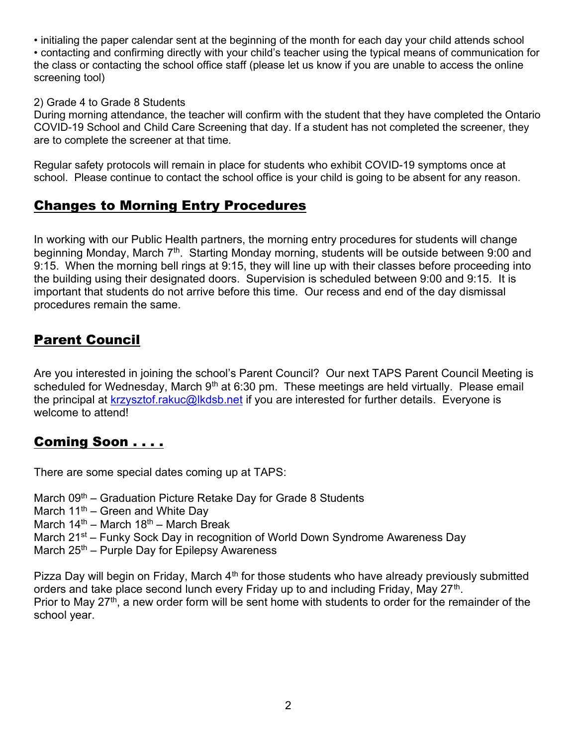• initialing the paper calendar sent at the beginning of the month for each day your child attends school

• contacting and confirming directly with your child's teacher using the typical means of communication for the class or contacting the school office staff (please let us know if you are unable to access the online screening tool)

#### 2) Grade 4 to Grade 8 Students

During morning attendance, the teacher will confirm with the student that they have completed the Ontario COVID-19 School and Child Care Screening that day. If a student has not completed the screener, they are to complete the screener at that time.

Regular safety protocols will remain in place for students who exhibit COVID-19 symptoms once at school. Please continue to contact the school office is your child is going to be absent for any reason.

### Changes to Morning Entry Procedures

In working with our Public Health partners, the morning entry procedures for students will change beginning Monday, March  $7<sup>th</sup>$ . Starting Monday morning, students will be outside between 9:00 and 9:15. When the morning bell rings at 9:15, they will line up with their classes before proceeding into the building using their designated doors. Supervision is scheduled between 9:00 and 9:15. It is important that students do not arrive before this time. Our recess and end of the day dismissal procedures remain the same.

# Parent Council

Are you interested in joining the school's Parent Council? Our next TAPS Parent Council Meeting is scheduled for Wednesday, March  $9<sup>th</sup>$  at 6:30 pm. These meetings are held virtually. Please email the principal at krzysztof.rakuc@lkdsb.net if you are interested for further details. Everyone is welcome to attend!

### Coming Soon . . . .

There are some special dates coming up at TAPS:

March  $09<sup>th</sup>$  – Graduation Picture Retake Day for Grade 8 Students

- March  $11^{th}$  Green and White Day
- March  $14<sup>th</sup>$  March  $18<sup>th</sup>$  March Break
- March 21<sup>st</sup> Funky Sock Day in recognition of World Down Syndrome Awareness Day
- March  $25<sup>th</sup>$  Purple Day for Epilepsy Awareness

Pizza Day will begin on Friday, March  $4<sup>th</sup>$  for those students who have already previously submitted orders and take place second lunch every Friday up to and including Friday, May 27<sup>th</sup>. Prior to May 27<sup>th</sup>, a new order form will be sent home with students to order for the remainder of the school year.